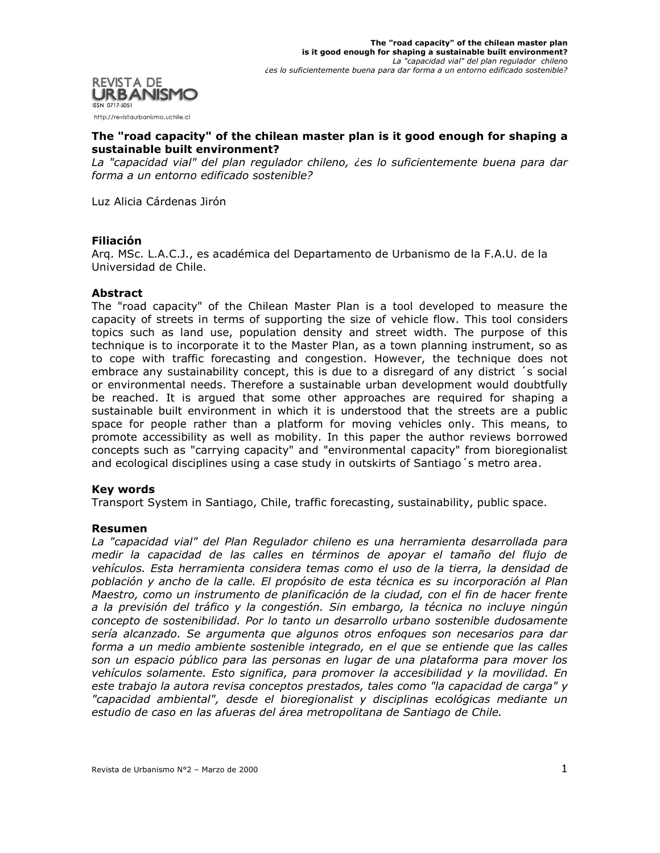

#### http://revistaurbanismo.uchile.cl

# **The "road capacity" of the chilean master plan is it good enough for shaping a sustainable built environment?**

*La "capacidad vial" del plan regulador chileno, ¿es lo suficientemente buena para dar forma a un entorno edificado sostenible?*

Luz Alicia Cárdenas Jirón

#### **Filiación**

Arq. MSc. L.A.C.J., es académica del Departamento de Urbanismo de la F.A.U. de la Universidad de Chile.

#### **Abstract**

The "road capacity" of the Chilean Master Plan is a tool developed to measure the capacity of streets in terms of supporting the size of vehicle flow. This tool considers topics such as land use, population density and street width. The purpose of this technique is to incorporate it to the Master Plan, as a town planning instrument, so as to cope with traffic forecasting and congestion. However, the technique does not embrace any sustainability concept, this is due to a disregard of any district ´s social or environmental needs. Therefore a sustainable urban development would doubtfully be reached. It is argued that some other approaches are required for shaping a sustainable built environment in which it is understood that the streets are a public space for people rather than a platform for moving vehicles only. This means, to promote accessibility as well as mobility. In this paper the author reviews borrowed concepts such as "carrying capacity" and "environmental capacity" from bioregionalist and ecological disciplines using a case study in outskirts of Santiago´s metro area.

#### **Key words**

Transport System in Santiago, Chile, traffic forecasting, sustainability, public space.

#### **Resumen**

*La "capacidad vial" del Plan Regulador chileno es una herramienta desarrollada para medir la capacidad de las calles en términos de apoyar el tamaño del flujo de vehículos. Esta herramienta considera temas como el uso de la tierra, la densidad de población y ancho de la calle. El propósito de esta técnica es su incorporación al Plan Maestro, como un instrumento de planificación de la ciudad, con el fin de hacer frente a la previsión del tráfico y la congestión. Sin embargo, la técnica no incluye ningún concepto de sostenibilidad. Por lo tanto un desarrollo urbano sostenible dudosamente sería alcanzado. Se argumenta que algunos otros enfoques son necesarios para dar forma a un medio ambiente sostenible integrado, en el que se entiende que las calles son un espacio público para las personas en lugar de una plataforma para mover los vehículos solamente. Esto significa, para promover la accesibilidad y la movilidad. En este trabajo la autora revisa conceptos prestados, tales como "la capacidad de carga" y "capacidad ambiental", desde el bioregionalist y disciplinas ecológicas mediante un estudio de caso en las afueras del área metropolitana de Santiago de Chile.*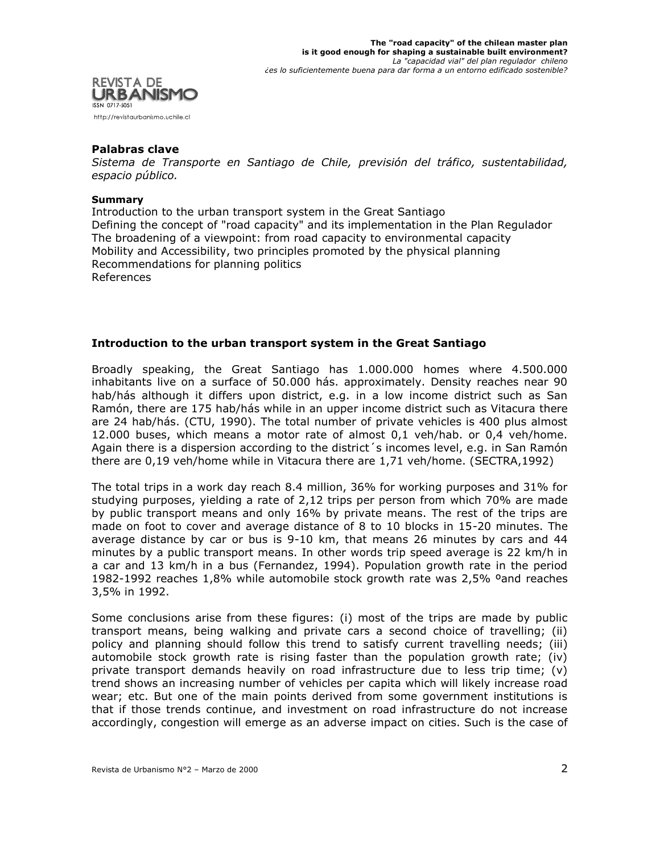

#### **Palabras clave**

*Sistema de Transporte en Santiago de Chile, previsión del tráfico, sustentabilidad, espacio público.*

#### **Summary**

Introduction to the urban transport system in the Great Santiago Defining the concept of "road capacity" and its implementation in the Plan Regulador The broadening of a viewpoint: from road capacity to environmental capacity Mobility and Accessibility, two principles promoted by the physical planning Recommendations for planning politics References

#### **Introduction to the urban transport system in the Great Santiago**

Broadly speaking, the Great Santiago has 1.000.000 homes where 4.500.000 inhabitants live on a surface of 50.000 hás. approximately. Density reaches near 90 hab/hás although it differs upon district, e.g. in a low income district such as San Ramón, there are 175 hab/hás while in an upper income district such as Vitacura there are 24 hab/hás. (CTU, 1990). The total number of private vehicles is 400 plus almost 12.000 buses, which means a motor rate of almost 0,1 veh/hab. or 0,4 veh/home. Again there is a dispersion according to the district´s incomes level, e.g. in San Ramón there are 0,19 veh/home while in Vitacura there are 1,71 veh/home. (SECTRA,1992)

The total trips in a work day reach 8.4 million, 36% for working purposes and 31% for studying purposes, yielding a rate of 2,12 trips per person from which 70% are made by public transport means and only 16% by private means. The rest of the trips are made on foot to cover and average distance of 8 to 10 blocks in 15-20 minutes. The average distance by car or bus is 9-10 km, that means 26 minutes by cars and 44 minutes by a public transport means. In other words trip speed average is 22 km/h in a car and 13 km/h in a bus (Fernandez, 1994). Population growth rate in the period 1982-1992 reaches 1,8% while automobile stock growth rate was 2,5% ºand reaches 3,5% in 1992.

Some conclusions arise from these figures: (i) most of the trips are made by public transport means, being walking and private cars a second choice of travelling; (ii) policy and planning should follow this trend to satisfy current travelling needs; (iii) automobile stock growth rate is rising faster than the population growth rate; (iv) private transport demands heavily on road infrastructure due to less trip time;  $(v)$ trend shows an increasing number of vehicles per capita which will likely increase road wear; etc. But one of the main points derived from some government institutions is that if those trends continue, and investment on road infrastructure do not increase accordingly, congestion will emerge as an adverse impact on cities. Such is the case of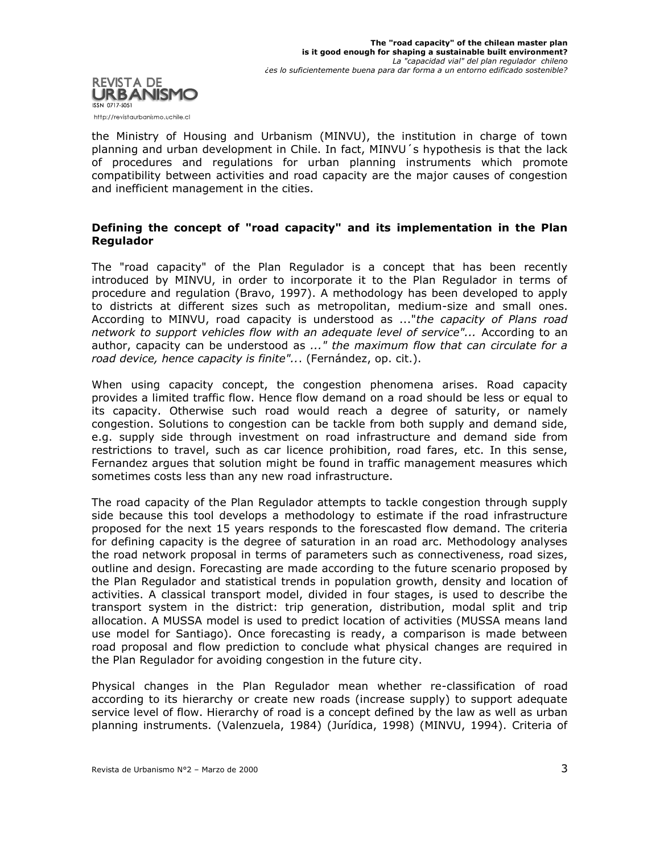

the Ministry of Housing and Urbanism (MINVU), the institution in charge of town planning and urban development in Chile. In fact, MINVU´s hypothesis is that the lack of procedures and regulations for urban planning instruments which promote compatibility between activities and road capacity are the major causes of congestion and inefficient management in the cities.

# **Defining the concept of "road capacity" and its implementation in the Plan Regulador**

The "road capacity" of the Plan Regulador is a concept that has been recently introduced by MINVU, in order to incorporate it to the Plan Regulador in terms of procedure and regulation (Bravo, 1997). A methodology has been developed to apply to districts at different sizes such as metropolitan, medium-size and small ones. According to MINVU, road capacity is understood as ..."*the capacity of Plans road network to support vehicles flow with an adequate level of service"...* According to an author, capacity can be understood as *..." the maximum flow that can circulate for a road device, hence capacity is finite"..*. (Fernández, op. cit.).

When using capacity concept, the congestion phenomena arises. Road capacity provides a limited traffic flow. Hence flow demand on a road should be less or equal to its capacity. Otherwise such road would reach a degree of saturity, or namely congestion. Solutions to congestion can be tackle from both supply and demand side, e.g. supply side through investment on road infrastructure and demand side from restrictions to travel, such as car licence prohibition, road fares, etc. In this sense, Fernandez argues that solution might be found in traffic management measures which sometimes costs less than any new road infrastructure.

The road capacity of the Plan Regulador attempts to tackle congestion through supply side because this tool develops a methodology to estimate if the road infrastructure proposed for the next 15 years responds to the forescasted flow demand. The criteria for defining capacity is the degree of saturation in an road arc. Methodology analyses the road network proposal in terms of parameters such as connectiveness, road sizes, outline and design. Forecasting are made according to the future scenario proposed by the Plan Regulador and statistical trends in population growth, density and location of activities. A classical transport model, divided in four stages, is used to describe the transport system in the district: trip generation, distribution, modal split and trip allocation. A MUSSA model is used to predict location of activities (MUSSA means land use model for Santiago). Once forecasting is ready, a comparison is made between road proposal and flow prediction to conclude what physical changes are required in the Plan Regulador for avoiding congestion in the future city.

Physical changes in the Plan Regulador mean whether re-classification of road according to its hierarchy or create new roads (increase supply) to support adequate service level of flow. Hierarchy of road is a concept defined by the law as well as urban planning instruments. (Valenzuela, 1984) (Jurídica, 1998) (MINVU, 1994). Criteria of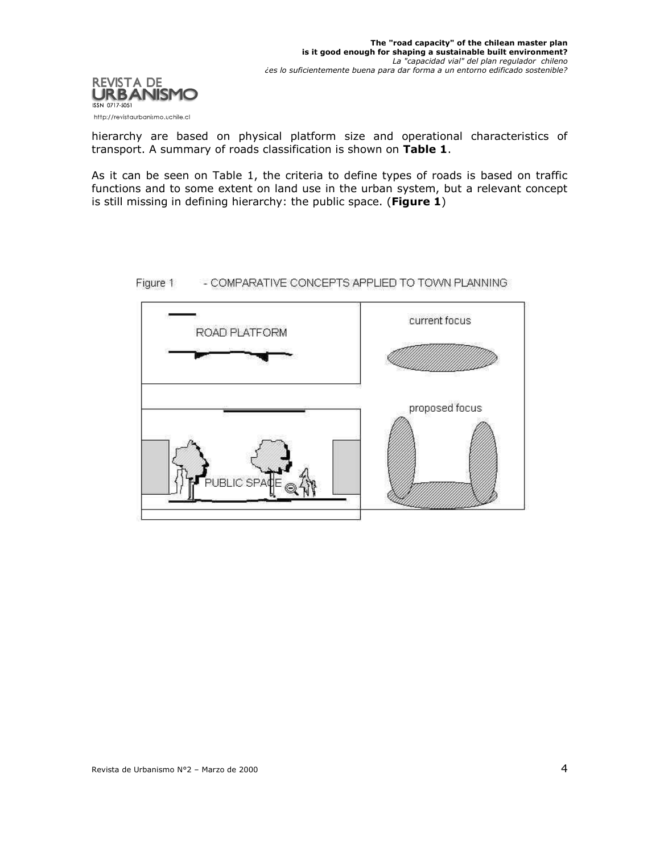

hierarchy are based on physical platform size and operational characteristics of transport. A summary of roads classification is shown on **Table 1**.

As it can be seen on Table 1, the criteria to define types of roads is based on traffic functions and to some extent on land use in the urban system, but a relevant concept is still missing in defining hierarchy: the public space. (**Figure 1**)

#### Figure 1 - COMPARATIVE CONCEPTS APPLIED TO TOWN PLANNING

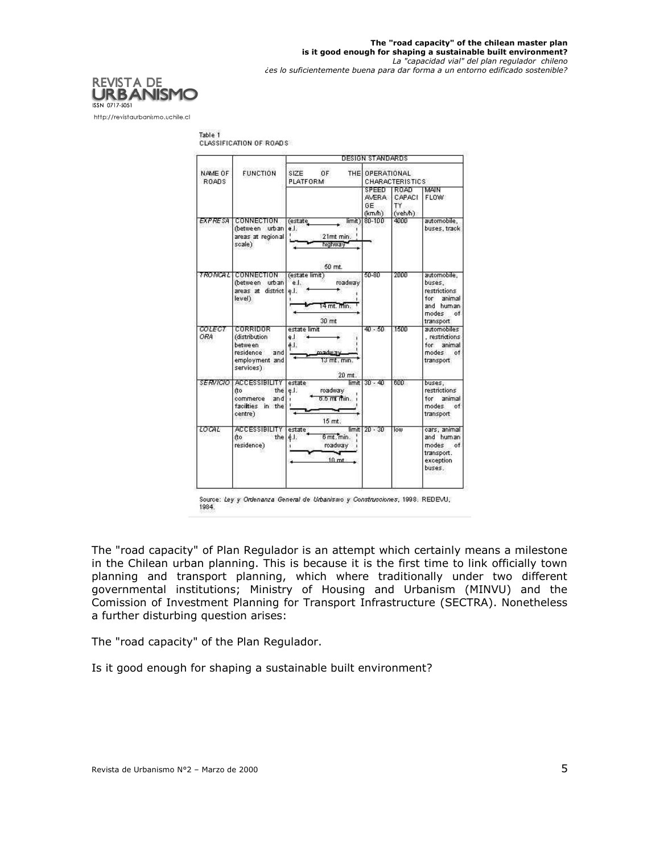

http://revistaurbanismo.uchile.cl

Table 1

| NAME OF<br><b>ROADS</b> | <b>FUNCTION</b>                                                                              | DESIGN STANDARDS                                                            |                                       |                                  |                                                                                                         |
|-------------------------|----------------------------------------------------------------------------------------------|-----------------------------------------------------------------------------|---------------------------------------|----------------------------------|---------------------------------------------------------------------------------------------------------|
|                         |                                                                                              | OF.<br>THE<br>SIZE<br><b>PLATFORM</b>                                       | OPERATIONAL<br><b>CHARACTERISTICS</b> |                                  |                                                                                                         |
|                         |                                                                                              |                                                                             | SPEED<br><b>AVERA</b><br>GE<br>(km/h) | ROAD.<br>CAPACI<br>TY<br>(veh/h) | MAIN<br><b>FLOW</b>                                                                                     |
| <b>EXPRESA</b>          | <b>CONNECTION</b><br>(between urban<br>areas at regional<br>scale)                           | (estate,<br>limit)<br>.1.<br>21mt min.<br>highway <sup>*</sup><br>50 mt.    | 80-100                                | 4000                             | automobile.<br>buses, track                                                                             |
|                         | <b><i>TRONCAL</i></b> CONNECTION<br><b>(between)</b><br>urban<br>areas at district<br>level) | (estate limit)<br>e.l.<br>roadway<br>e.l.<br>14 mt. Inin.<br>$30 \text{ m}$ | 50-80                                 | 2000                             | automobile.<br>buses.<br><b>restrictions</b><br>animal<br>for<br>and human<br>modes<br>of.<br>transport |
| COLECT<br>ORA           | CORRIDOR<br>(distribution<br>betwe en<br>residence<br>and<br>employment and<br>services)     | estate limit<br>e.l<br>é.l.<br>v s tubsko<br>13 mit. min.<br>20 mt.         | $40 - 50$                             | 1500                             | automobiles<br>, restrictions<br>for<br>animal<br>modes<br>of<br>transport                              |
| <b>SERVICIO</b>         | <b>ACCESSIBILITY</b><br>the<br>ítő<br>commerce<br>and<br>facilities in the<br>centre)        | estate<br>limit I<br>61.9<br>vewbeer<br>$6.5 \text{ m}$ m.<br>$15$ mt.      | $30 - 40$                             | 600                              | buses,<br><b>restrictions</b><br>animal<br>for.<br>modes.<br>of.<br>transport                           |
| LOCAL                   | <b>ACCESSIBILITY</b><br>íto.<br>the.<br>residence)                                           | estate<br>limit<br>$6 \pi t$ , min.<br>41.<br>vewbeon<br>w<br>$10$ mt.      | $20 - 30$                             | low                              | cars, animal.<br>and human<br>modes<br>of.<br>transport.<br>exception<br>buses.                         |

Source: Ley y Ordenanza General de Urbanismo y Construcciones, 1998. REDEVU, 1984.

The "road capacity" of Plan Regulador is an attempt which certainly means a milestone in the Chilean urban planning. This is because it is the first time to link officially town planning and transport planning, which where traditionally under two different governmental institutions; Ministry of Housing and Urbanism (MINVU) and the Comission of Investment Planning for Transport Infrastructure (SECTRA). Nonetheless a further disturbing question arises:

The "road capacity" of the Plan Regulador.

Is it good enough for shaping a sustainable built environment?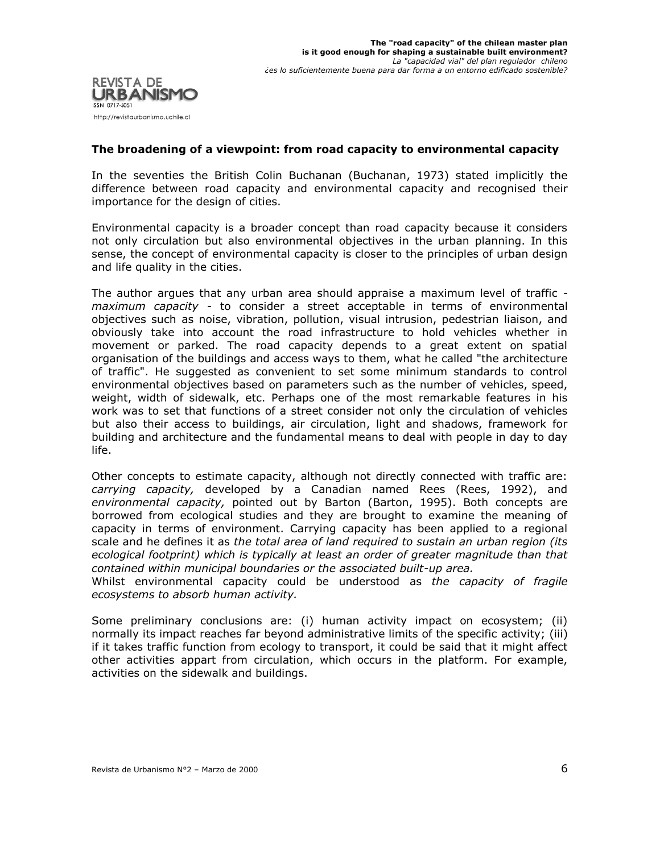

# **The broadening of a viewpoint: from road capacity to environmental capacity**

In the seventies the British Colin Buchanan (Buchanan, 1973) stated implicitly the difference between road capacity and environmental capacity and recognised their importance for the design of cities.

Environmental capacity is a broader concept than road capacity because it considers not only circulation but also environmental objectives in the urban planning. In this sense, the concept of environmental capacity is closer to the principles of urban design and life quality in the cities.

The author argues that any urban area should appraise a maximum level of traffic *maximum capacity -* to consider a street acceptable in terms of environmental objectives such as noise, vibration, pollution, visual intrusion, pedestrian liaison, and obviously take into account the road infrastructure to hold vehicles whether in movement or parked. The road capacity depends to a great extent on spatial organisation of the buildings and access ways to them, what he called "the architecture of traffic". He suggested as convenient to set some minimum standards to control environmental objectives based on parameters such as the number of vehicles, speed, weight, width of sidewalk, etc. Perhaps one of the most remarkable features in his work was to set that functions of a street consider not only the circulation of vehicles but also their access to buildings, air circulation, light and shadows, framework for building and architecture and the fundamental means to deal with people in day to day life.

Other concepts to estimate capacity, although not directly connected with traffic are: *carrying capacity,* developed by a Canadian named Rees (Rees, 1992), and *environmental capacity,* pointed out by Barton (Barton, 1995). Both concepts are borrowed from ecological studies and they are brought to examine the meaning of capacity in terms of environment. Carrying capacity has been applied to a regional scale and he defines it as *the total area of land required to sustain an urban region (its ecological footprint) which is typically at least an order of greater magnitude than that contained within municipal boundaries or the associated built-up area.*

Whilst environmental capacity could be understood as *the capacity of fragile ecosystems to absorb human activity.*

Some preliminary conclusions are: (i) human activity impact on ecosystem; (ii) normally its impact reaches far beyond administrative limits of the specific activity; (iii) if it takes traffic function from ecology to transport, it could be said that it might affect other activities appart from circulation, which occurs in the platform. For example, activities on the sidewalk and buildings.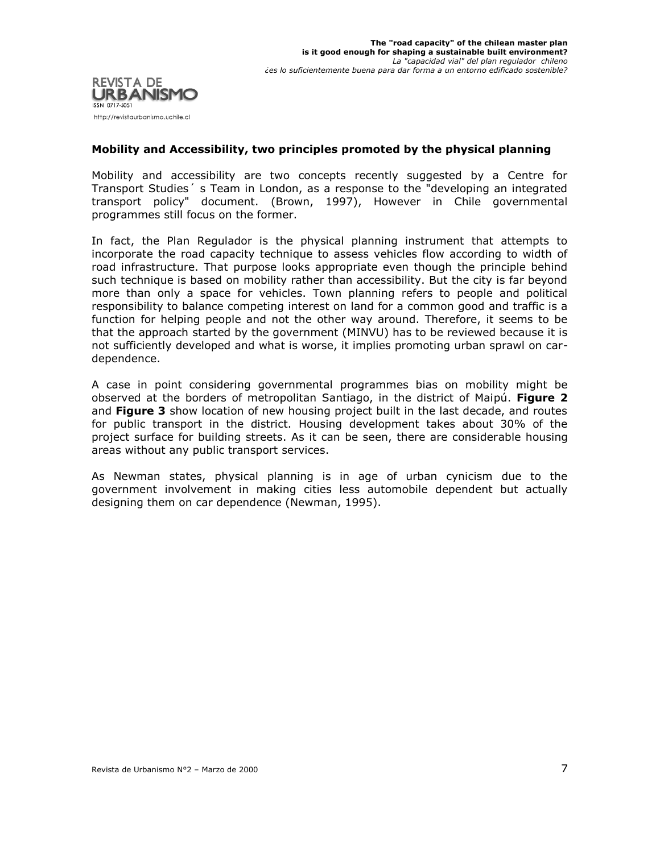

# **Mobility and Accessibility, two principles promoted by the physical planning**

Mobility and accessibility are two concepts recently suggested by a Centre for Transport Studies´ s Team in London, as a response to the "developing an integrated transport policy" document. (Brown, 1997), However in Chile governmental programmes still focus on the former.

In fact, the Plan Regulador is the physical planning instrument that attempts to incorporate the road capacity technique to assess vehicles flow according to width of road infrastructure. That purpose looks appropriate even though the principle behind such technique is based on mobility rather than accessibility. But the city is far beyond more than only a space for vehicles. Town planning refers to people and political responsibility to balance competing interest on land for a common good and traffic is a function for helping people and not the other way around. Therefore, it seems to be that the approach started by the government (MINVU) has to be reviewed because it is not sufficiently developed and what is worse, it implies promoting urban sprawl on cardependence.

A case in point considering governmental programmes bias on mobility might be observed at the borders of metropolitan Santiago, in the district of Maipú. **Figure 2** and **Figure 3** show location of new housing project built in the last decade, and routes for public transport in the district. Housing development takes about 30% of the project surface for building streets. As it can be seen, there are considerable housing areas without any public transport services.

As Newman states, physical planning is in age of urban cynicism due to the government involvement in making cities less automobile dependent but actually designing them on car dependence (Newman, 1995).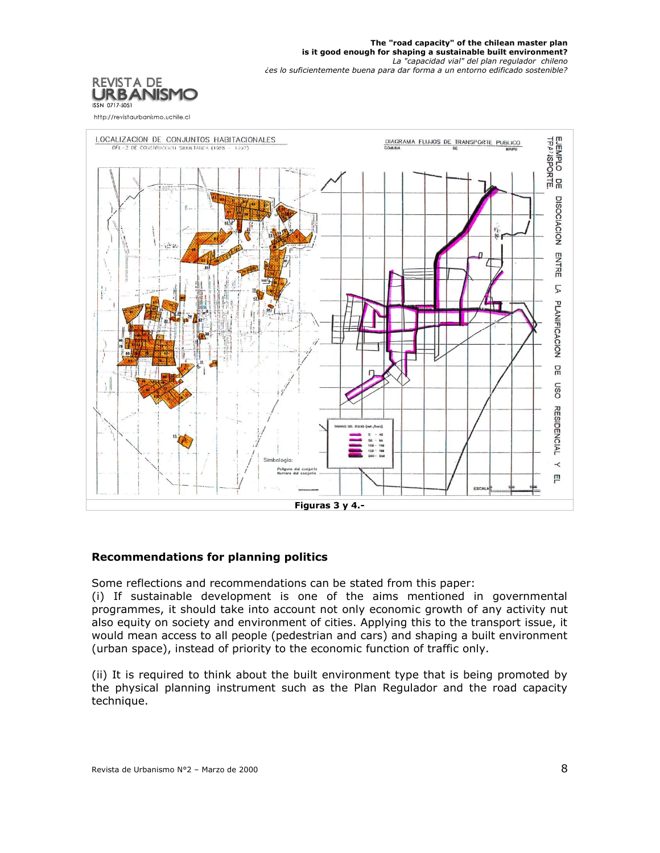

http://revistaurbanismo.uchile.cl



# **Recommendations for planning politics**

Some reflections and recommendations can be stated from this paper:

(i) If sustainable development is one of the aims mentioned in governmental programmes, it should take into account not only economic growth of any activity nut also equity on society and environment of cities. Applying this to the transport issue, it would mean access to all people (pedestrian and cars) and shaping a built environment (urban space), instead of priority to the economic function of traffic only.

(ii) It is required to think about the built environment type that is being promoted by the physical planning instrument such as the Plan Regulador and the road capacity technique.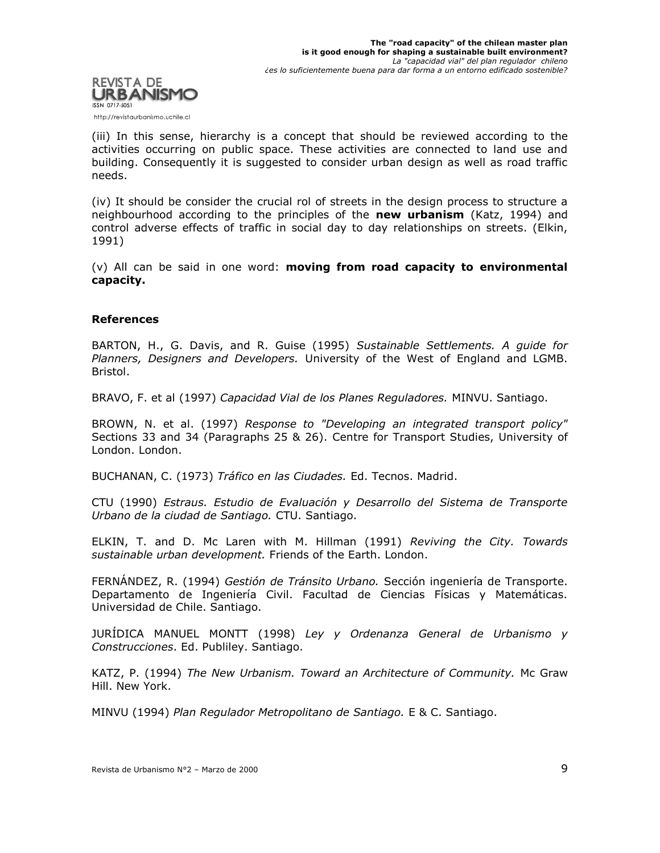

(iii) In this sense, hierarchy is a concept that should be reviewed according to the activities occurring on public space. These activities are connected to land use and building. Consequently it is suggested to consider urban design as well as road traffic needs.

(iv) It should be consider the crucial rol of streets in the design process to structure a neighbourhood according to the principles of the **new urbanism** (Katz, 1994) and control adverse effects of traffic in social day to day relationships on streets. (Elkin, 1991)

(v) All can be said in one word: **moving from road capacity to environmental capacity.**

#### **References**

BARTON, H., G. Davis, and R. Guise (1995) *Sustainable Settlements. A guide for Planners, Designers and Developers.* University of the West of England and LGMB. Bristol.

BRAVO, F. et al (1997) *Capacidad Vial de los Planes Reguladores.* MINVU. Santiago.

BROWN, N. et al. (1997) *Response to "Developing an integrated transport policy"*  Sections 33 and 34 (Paragraphs 25 & 26). Centre for Transport Studies, University of London. London.

BUCHANAN, C. (1973) *Tráfico en las Ciudades.* Ed. Tecnos. Madrid.

CTU (1990) *Estraus. Estudio de Evaluación y Desarrollo del Sistema de Transporte Urbano de la ciudad de Santiago.* CTU. Santiago.

ELKIN, T. and D. Mc Laren with M. Hillman (1991) *Reviving the City. Towards sustainable urban development.* Friends of the Earth. London.

FERNÁNDEZ, R. (1994) *Gestión de Tránsito Urbano.* Sección ingeniería de Transporte. Departamento de Ingeniería Civil. Facultad de Ciencias Físicas y Matemáticas. Universidad de Chile. Santiago.

JURÍDICA MANUEL MONTT (1998) *Ley y Ordenanza General de Urbanismo y Construcciones*. Ed. Publiley. Santiago.

KATZ, P. (1994) *The New Urbanism. Toward an Architecture of Community.* Mc Graw Hill. New York.

MINVU (1994) *Plan Regulador Metropolitano de Santiago.* E & C. Santiago.